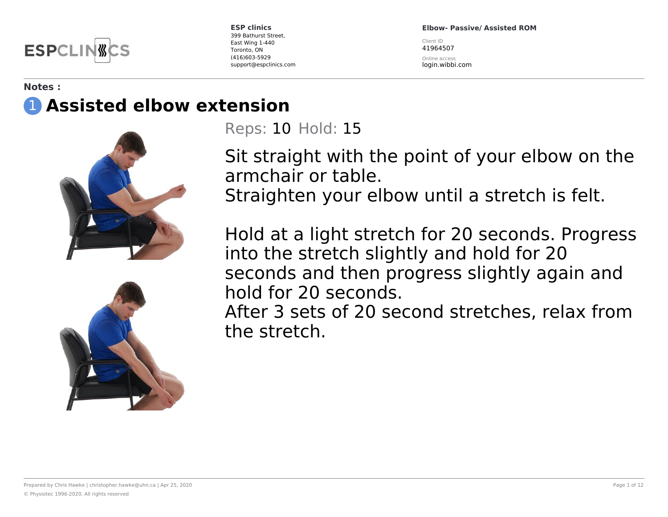

**Elbow- Passive/ Assisted ROM**

Client ID 41964507

Online access login.wibbi.com

#### **Notes :** 1 **Assisted elbow extension**



Reps: 10 Hold: 15

Sit straight with the point of your elbow on the armchair or table. Straighten your elbow until a stretch is felt.

Hold at a light stretch for 20 seconds. Progress into the stretch slightly and hold for 20 seconds and then progress slightly again and hold for 20 seconds.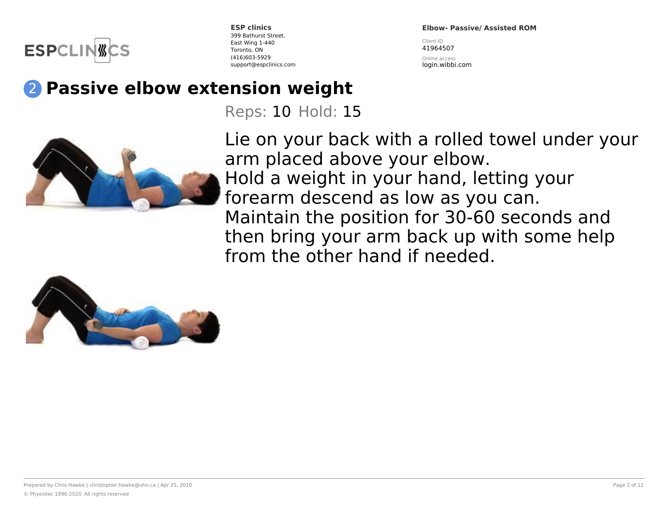

**Elbow- Passive/ Assisted ROM**

Client ID 41964507

Online access login.wibbi.com

# 2 **Passive elbow extension weight**

Reps: 10 Hold: 15



Lie on your back with a rolled towel under your arm placed above your elbow. Hold a weight in your hand, letting your forearm descend as low as you can. Maintain the position for 30-60 seconds and then bring your arm back up with some help from the other hand if needed.

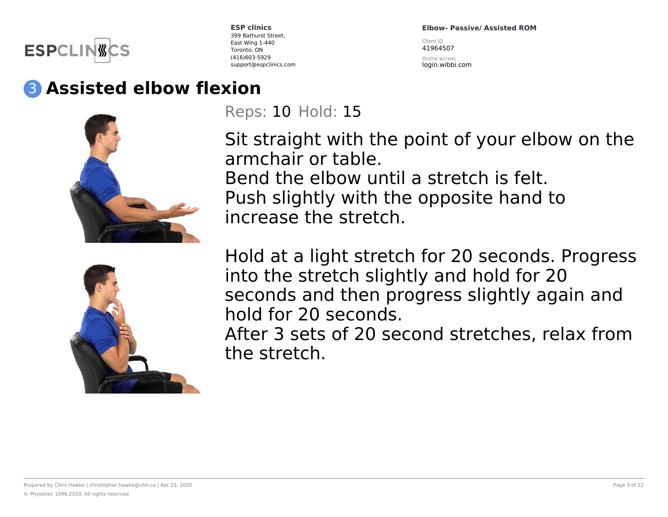

**Elbow- Passive/ Assisted ROM**

Client ID 41964507

Online access login.wibbi.com

# 3 **Assisted elbow flexion**



Reps: 10 Hold: 15

Sit straight with the point of your elbow on the armchair or table. Bend the elbow until a stretch is felt. Push slightly with the opposite hand to increase the stretch.



Hold at a light stretch for 20 seconds. Progress into the stretch slightly and hold for 20 seconds and then progress slightly again and hold for 20 seconds.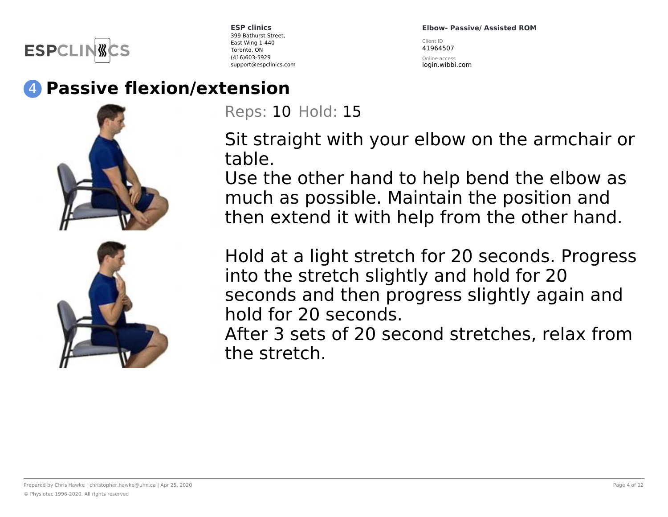

**Elbow- Passive/ Assisted ROM** Client ID 41964507

Online access login.wibbi.com

## 4 **Passive flexion/extension**





Reps: 10 Hold: 15

Sit straight with your elbow on the armchair or table.

Use the other hand to help bend the elbow as much as possible. Maintain the position and then extend it with help from the other hand.

Hold at a light stretch for 20 seconds. Progress into the stretch slightly and hold for 20 seconds and then progress slightly again and hold for 20 seconds.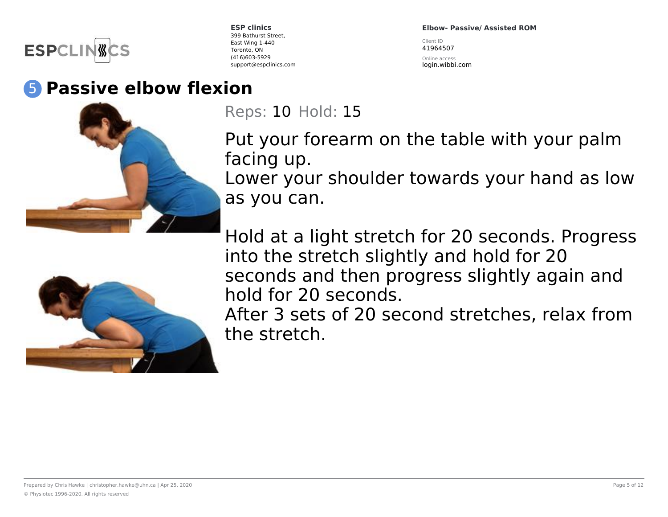

**Elbow- Passive/ Assisted ROM**

Client ID 41964507

Online access login.wibbi.com



5 **Passive elbow flexion**

Reps: 10 Hold: 15

Put your forearm on the table with your palm facing up.

Lower your shoulder towards your hand as low as you can.



Hold at a light stretch for 20 seconds. Progress into the stretch slightly and hold for 20 seconds and then progress slightly again and hold for 20 seconds.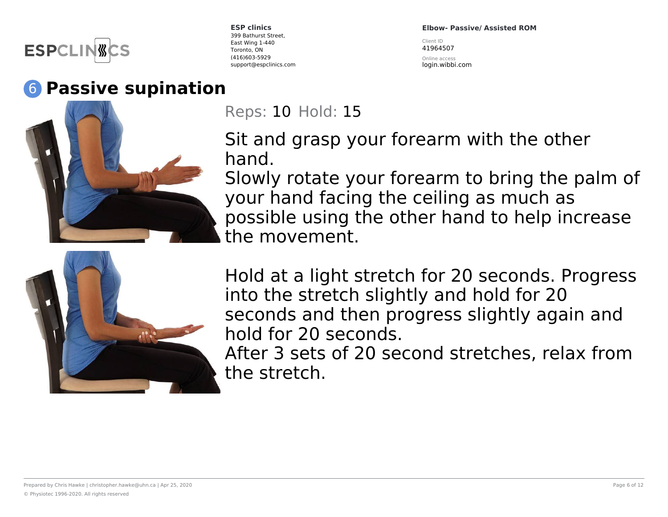

### 6 **Passive supination**



**ESP clinics** 399 Bathurst Street, East Wing 1-440 Toronto, ON (416)603-5929 support@espclinics.com **Elbow- Passive/ Assisted ROM**

Client ID 41964507

Online access login.wibbi.com

Reps: 10 Hold: 15

Sit and grasp your forearm with the other hand.

Slowly rotate your forearm to bring the palm of your hand facing the ceiling as much as possible using the other hand to help increase the movement.



Hold at a light stretch for 20 seconds. Progress into the stretch slightly and hold for 20 seconds and then progress slightly again and hold for 20 seconds.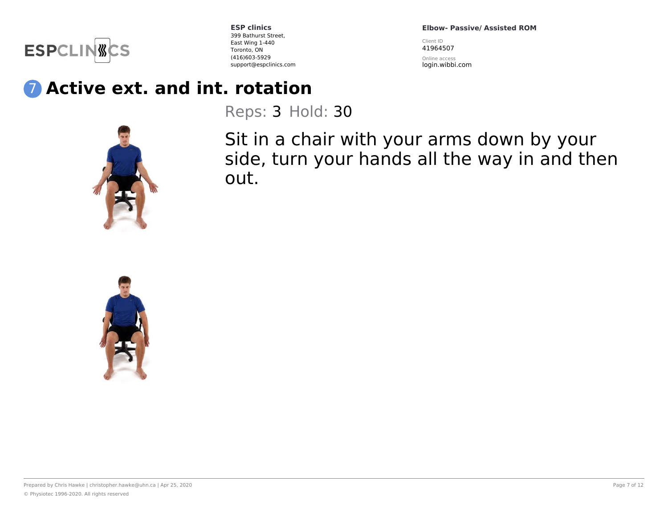

**Elbow- Passive/ Assisted ROM**

Client ID 41964507

Online access login.wibbi.com

## 7 **Active ext. and int. rotation**

Reps: 3 Hold: 30

Sit in a chair with your arms down by your side, turn your hands all the way in and then out.

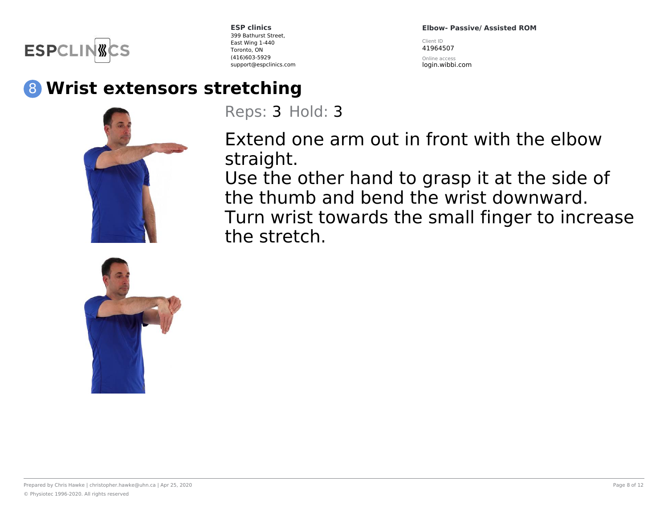

**Elbow- Passive/ Assisted ROM**

Client ID 41964507

Online access login.wibbi.com

## 8 **Wrist extensors stretching**





Reps: 3 Hold: 3

Extend one arm out in front with the elbow straight.

Use the other hand to grasp it at the side of the thumb and bend the wrist downward. Turn wrist towards the small finger to increase the stretch.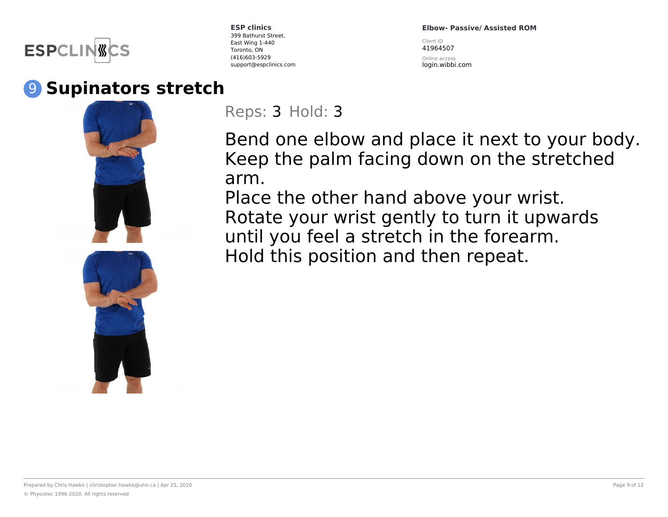

#### 9 **Supinators stretch**



**ESP clinics** 399 Bathurst Street, East Wing 1-440 Toronto, ON (416)603-5929 support@espclinics.com **Elbow- Passive/ Assisted ROM**

Client ID 41964507

Online access login.wibbi.com

Reps: 3 Hold: 3

Bend one elbow and place it next to your body. Keep the palm facing down on the stretched arm.

Place the other hand above your wrist. Rotate your wrist gently to turn it upwards until you feel a stretch in the forearm. Hold this position and then repeat.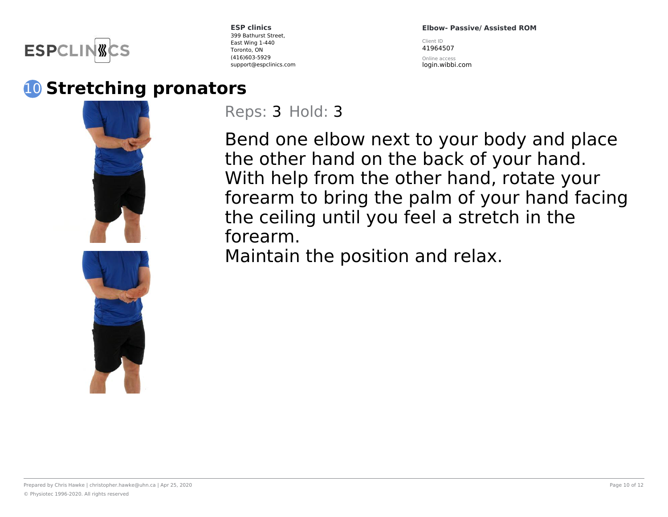

**Elbow- Passive/ Assisted ROM**

Client ID 41964507

Online access login.wibbi.com

10 **Stretching pronators**



Reps: 3 Hold: 3

Bend one elbow next to your body and place the other hand on the back of your hand. With help from the other hand, rotate your forearm to bring the palm of your hand facing the ceiling until you feel a stretch in the forearm. Maintain the position and relax.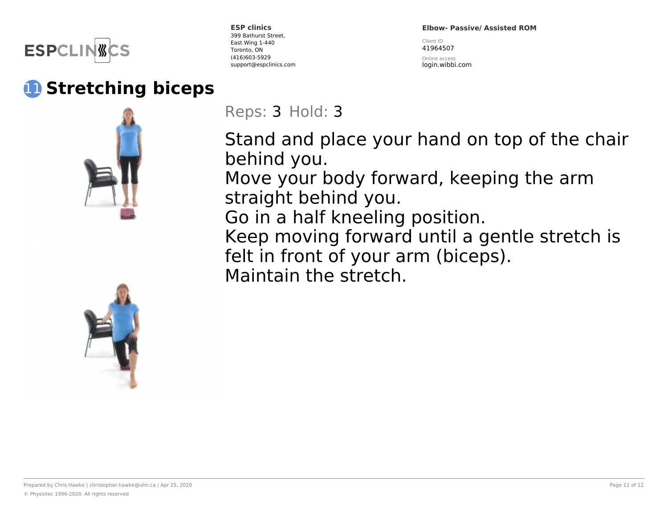

## 11 **Stretching biceps**



**ESP clinics** 399 Bathurst Street, East Wing 1-440 Toronto, ON (416)603-5929 support@espclinics.com **Elbow- Passive/ Assisted ROM**

Client ID 41964507

Online access login.wibbi.com

Reps: 3 Hold: 3

Stand and place your hand on top of the chair behind you.

Move your body forward, keeping the arm straight behind you.

Go in a half kneeling position.

Keep moving forward until a gentle stretch is felt in front of your arm (biceps). Maintain the stretch.